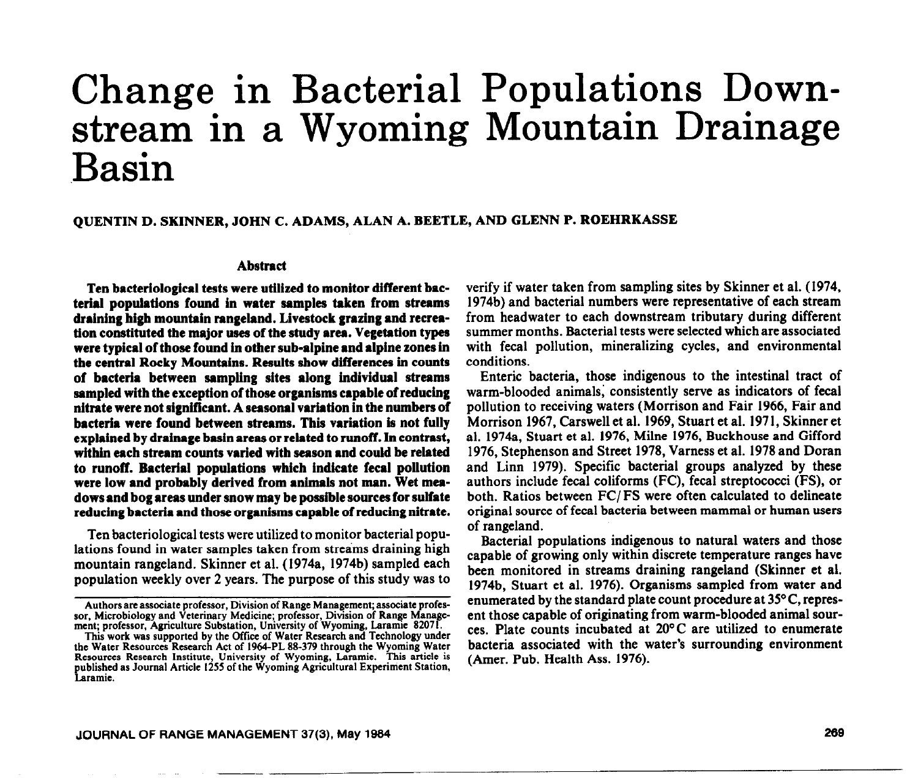# **Change in Bacterial Populations Downstream in a Wyoming Mountain Drainage Basin**

## QUENTIN D. SKINNER, JOHN C. ADAMS, ALAN **A.** BEETLE, AND GLENN P. ROEHRKASSE

#### **Abstract**

**Ten bacteriological tests were utilized to monitor different bacterial populations found in water samples taken from streams draining bigh mountain rangeland. Livestock grazing and recreation constituted the major uses of the study area. Vegetation types were typical of those found in other sub-alpine and alpine zones in the central Rocky Mountains. Results show differences in counts of bacteria between sampling sites along individual streams sampled with the exception of those organisms capable of reducing nitrate were not signiffcant. A seasonal variation in the numbers of bacteria were found between streams. This variation is not fully** explained by drainage basin areas or related to runoff. In contrast, **within each stream counts varied with season and could be related to runoff. Bacterial populations which indicate fecal pollution**  were low and probably derived from animals not man. Wet mea**dows and bog areas under snow may be possible sources for sulfate reducing bacteria and those organisms capable of reducing nitrate.** 

**Ten** bacteriological tests were utilized to monitor bacterial populations found in water samples taken from streams draining high mountain rangeland. Skinner et al. (1974a, 1974b) sampled each population weekly over 2 years. The purpose of this study was to verify if water taken from sampling sites by Skinner et al. (1974, 1974b) and bacterial numbers were representative of each stream from headwater to each downstream tributary during different summer months. Bacterial tests were selected which are associated with fecal pollution, mineralizing cycles, and environmental conditions.

Enteric bacteria, those indigenous to the intestinal tract of warm-blooded animals; consistently serve as indicators of fecal pollution to receiving waters (Morrison and Fair 1966, Fair and Morrison 1967, Carswell et al. 1969, Stuart et al. 1971, Skinner et al. 1974a, Stuart et al. 1976, Milne 1976, Buckhouse and Gifford 1976, Stephenson and Street 1978, Varness et al. 1978 and Doran and Linn 1979). Specific bacterial groups analyzed by these authors include fecal coliforms (FC), fecal streptococci (FS), or both. Ratios between FC/ FS were often calculated to delineate original source of fecal bacteria between mammal or human users of rangeland.

Bacterial populations indigenous to natural waters and those capable of growing only within discrete temperature ranges have been monitored in streams draining rangeland (Skinner et al. 1974b, Stuart et al. 1976). Organisms sampled from water and enumerated by the standard plate count procedure at 35°C, represent those capable of originating from warm-blooded animal sources. Plate counts incubated at 20°C are utilized to enumerate bacteria associated with the water's surrounding environment (Amer. Pub. Health Ass. 1976).

**Authors arc associate professor, Division of Range Management; associate professor, Microbiology and Veterinary Medicine; professor, Division of Range Management; professor, Agriculture Substation, University of Wyoming, Laramie 8207** I.

**This work was supported by the Office of Water Research and Technology under the Water Resources Research Act of 1964-PL 88-379 through the Wyoming Water**  Resources Research Institute, University of Wyoming, Laramie. This article is published as Journal Article 1255 of the Wyoming Agricultural Experiment Station, *Laramie.*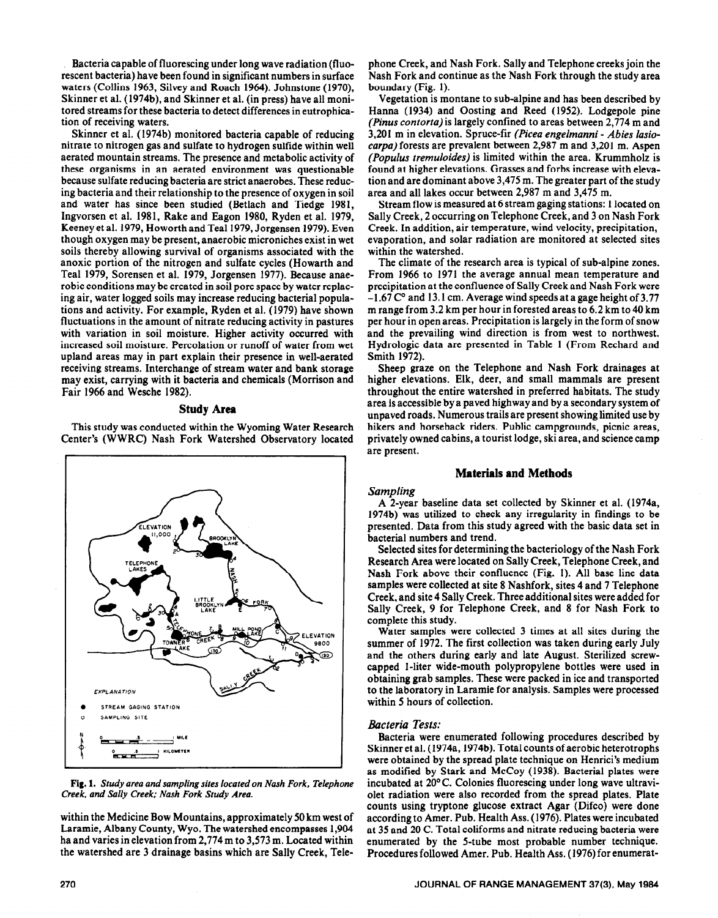Bacteria capable of fluorescing under long wave radiation (fluorescent bacteria) have been found in significant numbers in surface waters (Collins 1963, Silvey and Roach 1964). Johnstone (1970), Skinner et al. (1974b), and Skinner et al. (in press) have all monitored streams for these bacteria to detect differences in eutrophication of receiving waters.

Skinner et al. (1974b) monitored bacteria capable of reducing nitrate to nitrogen gas and sulfate to hydrogen sulfide within well aerated mountain streams. The presence and metabolic activity of these organisms in an aerated environment was questionable because sulfate reducing bacteria are strict anaerobes. These reducing bacteria and their relationship to the presence of oxygen in soil and water has since been studied (Betlach and Tiedge 1981, Ingvorsen et al. 1981, Rake and Eagon 1980, Ryden et al. 1979, Keeney et al. 1979, Howorth and Teal 1979, Jorgensen 1979). Even though oxygen may be present, anaerobic microniches exist in wet soils thereby allowing survival of organisms associated with the anoxic portion of the nitrogen and sulfate cycles (Howarth and Teal 1979, Sorensen et al. 1979, Jorgensen 1977). Because anaerobic conditions may be created in soil pore space by water replacing air, water logged soils may increase reducing bacterial populations and activity. For example, Ryden et al. (1979) have shown fluctuations in the amount of nitrate reducing activity in pastures with variation in soil moisture. Higher activity occurred with increased soil moisture. Percolation or runoff of water from wet upland areas may in part explain their presence in well-aerated receiving streams. Interchange of stream water and bank storage may exist, carrying with it bacteria and chemicals (Morrison and Fair 1966 and Wesche 1982).

### **Study** Area

This study was conducted within the Wyoming Water Research Center's (WWRC) Nash Fork Watershed Observatory located



Fig. 1. *Study area and sampling sites located on Nash Fork, Telephone Creek, and Sally Creek: Nash Fork Study Area.* 

within the Medicine Bow Mountains, approximately 50 km west of Laramie, Albany County, Wyo. The watershed encompasses 1,904 ha and varies in elevation from 2,774 m to 3,573 m. Located within the watershed are 3 drainage basins which are Sally Creek, Telephone Creek, and Nash Fork. Sally and Telephone creeks join the Nash Fork and continue as the Nash Fork through the study area boundary (Fig. 1).

Vegetation is montane to sub-alpine and has been described by Hanna (1934) and Oosting and Reed (1952). Lodgepole pine (Pinus *contorta)* is largely confined to areas between 2,774 m and 3,201 m in elevation. Spruce-fir *(Picea engelmanni - Abies lasiocarpa)* forests are prevalent between 2,987 m and 3,201 m. Aspen *(Populus tremuloides)* is limited within the area. Krummholz is found at higher elevations. Grasses and forbs increase with elevation and are dominant above 3,475 m. The greater part of the study area and all lakes occur between 2,987 m and 3,475 m.

Stream flow is measured at 6 stream gaging stations: 1 located on Sally Creek, 2 occurring on Telephone Creek, and 3 on Nash Fork Creek. In addition, air temperature, wind velocity, precipitation, evaporation, and solar radiation are monitored at selected sites within the watershed.

The climate of the research area is typical of sub-alpine zones. From 1966 to 1971 the average annual mean temperature and precipitation at the confluence of Sally Creek and Nash Fork were  $-1.67$  C<sup>o</sup> and 13.1 cm. Average wind speeds at a gage height of 3.77 m range from 3.2 km per hour in forested areas to 6.2 km to 40 km per hour in open areas. Precipitation is largely in the form of snow and the prevailing wind direction is from west to northwest. Hydrologic data are presented in Table 1 (From Rechard and Smith 1972).

Sheep graze on the Telephone and Nash Fork drainages at higher elevations. Elk, deer, and small mammals are present throughout the entire watershed in preferred habitats. The study area is accessible by a paved highway and by a secondary system of unpaved roads. Numerous trails are present showing limited use by hikers and horseback riders. Public campgrounds, picnic areas, privately owned cabins, a tourist lodge, ski area, and science camp are present.

# **Materials and Methods**

## *Sampling*

A 2-year baseline data set collected by Skinner et al. (1974a, 1974b) was utilized to check any irregularity in findings to be presented. Data from this study agreed with the basic data set in bacterial numbers and trend.

Selected sites for determining the bacteriology of the Nash Fork Research Area were located on Sally Creek, Telephone Creek, and Nash Fork above their confluence (Fig. 1). All base line data samples were collected at site 8 Nashfork, sites 4 and 7 Telephone Creek, and site 4 Sally Creek. Three additional sites were added for Sally Creek, 9 for Telephone Creek, and 8 for Nash Fork to complete this study.

Water samples were collected 3 times at all sites during the summer of 1972. The first collection was taken during early July and the others during early and late August. Sterilized screwcapped l-liter wide-mouth polypropylene bottles were used in obtaining grab samples. These were packed in ice and transported to the laboratory in Laramie for analysis. Samples were processed within 5 hours of collection.

## *Bacteria Tests:*

Bacteria were enumerated following procedures described by Skinner et al. (1974a, 1974b). Total counts of aerobic heterotrophs were obtained by the spread plate technique on Henrici's medium as modified by Stark and McCoy (1938). Bacterial plates were incubated at 20°C. Colonies fluorescing under long wave ultraviolet radiation were also recorded from the spread plates. Plate counts using tryptone glucose extract Agar (Difco) were done according to Amer. Pub. Health Ass. (1976). Plates were incubated at 35 and 20 C. Total coliforms and nitrate reducing bacteria were enumerated by the 5-tube most probable number technique. Procedures followed Amer. Pub. Health Ass. (1976) for enumerat-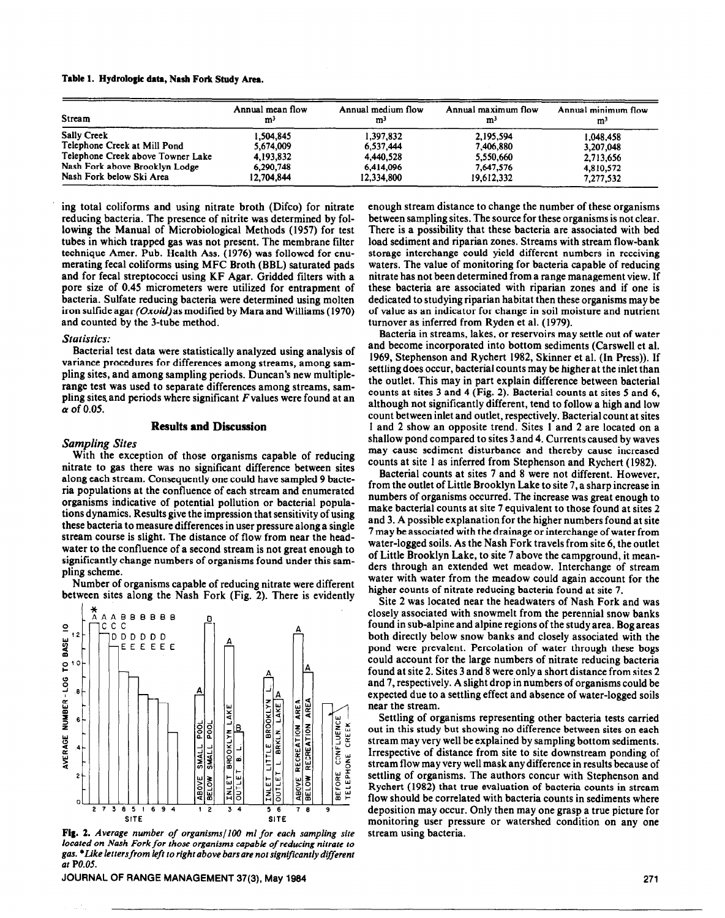#### **Table 1. Hydrologic data, Nash Fork Study Area.**

| Stream                            | Annual mean flow<br>m <sup>3</sup> | Annual medium flow<br>m, | Annual maximum flow<br>m, | Annual minimum flow<br>m <sup>3</sup> |
|-----------------------------------|------------------------------------|--------------------------|---------------------------|---------------------------------------|
| <b>Sally Creek</b>                | 1.504.845                          | 1.397.832                | 2.195,594                 | 1,048,458                             |
| Telephone Creek at Mill Pond      | 5,674,009                          | 6,537,444                | 7,406,880                 | 3,207,048                             |
| Telephone Creek above Towner Lake | 4.193.832                          | 4,440,528                | 5,550,660                 | 2,713,656                             |
| Nash Fork above Brooklyn Lodge    | 6,290,748                          | 6,414,096                | 7.647.576                 | 4,810,572                             |
| Nash Fork below Ski Area          | 12.704.844                         | 12,334,800               | 19,612,332                | 7,277,532                             |

ing total coliforms and using nitrate broth (Difco) for nitrate reducing bacteria. The presence of nitrite was determined by following the Manual of Microbiological Methods (1957) for test tubes in which trapped gas was not present. The membrane filter technique Amer. Pub. Health Ass. (1976) was followed for enumerating fecal coliforms using MFC Broth (BBL) saturated pads and for fecal streptococci using KF Agar. Gridded filters with a pore size of 0.45 micrometers were utilized for entrapment of bacteria. Sulfate reducing bacteria were determined using molten iron sulfide agar (Oxoid)as modified by Mara and Williams (1970) and counted by the 3-tube method.

#### *Statistics:*

Bacterial test data were statistically analyzed using analysis of variance procedures for differences among streams, among sampling sites, and among sampling periods. Duncan's new multiplerange test was used to separate differences among streams, sampling sites and periods where significant  $F$  values were found at an  $\alpha$  of 0.05.

## **Results and Discussion**

## *Sampling Sites*

With the exception of those organisms capable of reducing nitrate to gas there was no significant difference between sites along each stream. Consequently one could have sampled 9 bacteria populations at the confluence of each stream and enumerated organisms indicative of potential pollution or bacterial populations dynamics. Results give the impression that sensitivity of using these bacteria to measure differences in user pressure along a single stream course is slight. The distance of flow from near the headwater to the confluence of a second stream is not great enough to significantly change numbers of organisms found under this sampling scheme.

Number of organisms capable of reducing nitrate were different between sites along the Nash Fork (Fig. 2). There is evidently



**Fig.** 2. *Averoge number of orgontsms/lOO ml for each sompling site* stream using bacteria. *located on Nosh Fork for those organisms copoble of reducing nitrate to gos. \*Like lettersfrom left to right above bors ore not significantly diflerent ot* PO.05.

**JOURNAL OF RANGE MANAGEMENT 37(3),** May 1984 **271** 

enough stream distance to change the number of these organisms between sampling sites. The source for these organisms is not clear. There is a possibility that these bacteria are associated with bed load sediment and riparian zones. Streams with stream flow-bank storage interchange could yield different numbers in receiving waters. The value of monitoring for bacteria capable of reducing nitrate has not been determined from a range management view. If these bacteria are associated with riparian zones and if one is dedicated to studying riparian habitat then these organisms may be of value as an indicator for change in soil moisture and nutrient turnover as inferred from Ryden et al. (1979).

Bacteria in streams, lakes, or reservoirs may settle out of water and become incorporated into bottom sediments (Carswell et al. 1969, Stephenson and Rychert 1982, Skinner et al. (In Press)). If settling does occur, bacterial counts may be higher at the inlet than the outlet. This may in part explain difference between bacterial counts at sites 3 and 4 (Fig. 2). Bacterial counts at sites 5 and 6, although not significantly different, tend to follow a high and low count between inlet and outlet, respectively. Bacterial count at sites 1 and 2 show an opposite trend. Sites 1 and 2 are located on a shallow pond compared to sites 3 and 4. Currents caused by waves may cause sediment disturbance and thereby cause increased counts at site 1 as inferred from Stephenson and Rychert (1982).

Bacterial counts at sites 7 and 8 were not different. However, from the outlet of Little Brooklyn Lake to site 7, a sharp increase in numbers of organisms occurred. The increase was great enough to make bacterial counts at site 7 equivalent to those found at sites 2 and 3. A possible explanation for the higher numbers found at site 7 may be associated with the drainage or interchange of water from water-logged soils. As the Nash Fork travels from site 6, the outlet of Little Brooklyn Lake, to site 7 above the campground, it meanders through an extended wet meadow. Interchange of stream water with water from the meadow could again account for the higher counts of nitrate reducing bacteria found at site 7.

Site 2 was located near the headwaters of Nash Fork and was closely associated with snowmelt from the perennial snow banks found in sub-alpine and alpine regions of the study area. Bog areas both directly below snow banks and closely associated with the pond were prevalent. Percolation of water through these bogs could account for the large numbers of nitrate reducing bacteria found at site 2. Sites 3 and 8 were only a short distance from sites 2 and 7, respectively. A slight drop in numbers of organisms could be expected due to a settling effect and absence of water-logged soils near the stream.

Settling of organisms representing other bacteria tests carried out in this study but showing no difference between sites on each stream may very well be explained by sampling bottom sediments. Irrespective of distance from site to site downstream ponding of stream flow may very well mask any difference in results because of settling of organisms. The authors concur with Stephenson and Rychert (1982) that true evaluation of bacteria counts in stream flow should be correlated with bacteria counts in sediments where deposition may occur. Only then may one grasp a true picture for monitoring user pressure or watershed condition on any one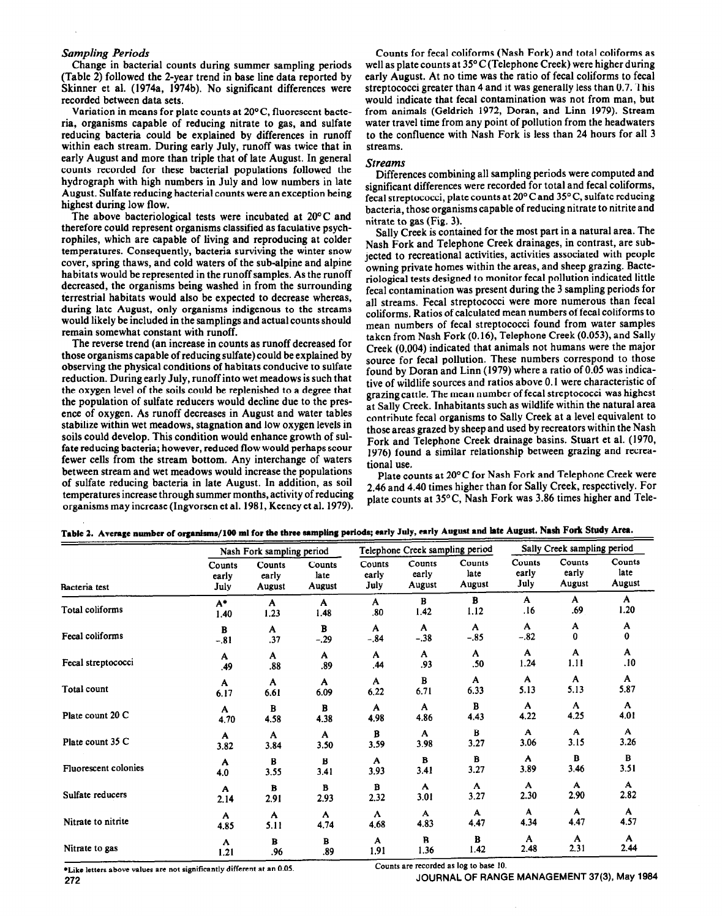# **Sampling Periods**

Change in bacterial counts during summer sampling periods (Table 2) followed the 2-year trend in base line data reported by Skinner et al. (1974a, 1974b). No significant differences were recorded between data sets.

Variation in means for plate counts at 20°C, fluorescent bacteria, organisms capable of reducing nitrate to gas, and sulfate reducing bacteria could be explained by differences in runoff within each stream. During early July, runoff was twice that in early August and more than triple that of late August. In general counts recorded for these bacterial populations followed the hydrograph with high numbers in July and low numbers in late August. Sulfate reducing bacterial counts were an exception being highest during low flow.

The above bacteriological tests were incubated at 20°C and therefore could represent organisms classified as faculative psychrophiles, which are capable of living and reproducing at colder temperatures. Consequently, bacteria surviving the winter snow cover, spring thaws, and cold waters of the sub-alpine and alpine habitats would be represented in the runoff samples. As the runoff decreased, the organisms being washed in from the surrounding terrestrial habitats would also be expected to decrease whereas, during late August, only organisms indigenous to the streams would likely be included in the samplings and actual counts should remain somewhat constant with runoff.

The reverse trend (an increase in counts as runoff decreased for those organisms capable of reducing sulfate) could be explained by observing the physical conditions of habitats conducive to sulfate reduction. During early July, runoff into wet meadows is such that the oxygen level of the soils could be replenished to a degree that the population of sulfate reducers would decline due to the presence of oxygen. As runoff decreases in August and water tables stabilize within wet meadows, stagnation and low oxygen levels in soils could develop. This condition would enhance growth of sulfate reducing bacteria; however, reduced flow would perhaps scour fewer cells from the stream bottom. Any interchange of waters between stream and wet meadows would increase the populations of sulfate reducing bacteria in late August. In addition, as soil temperatures increase through summer months, activity of reducing organisms may increase (Ingvorsen et al. 1981, Keeney et al. 1979).

Counts for fecal coliforms (Nash Fork) and total coliforms as well as plate counts at 35°C (Telephone Creek) were higher during early August. At no time was the ratio of fecal coliforms to fecal streptococci greater than 4 and it was generally less than 0.7. This would indicate that fecal contamination was not from man, but from animals (Geldrich 1972, Doran, and Linn 1979). Stream water travel time from any point of pollution from the headwaters to the confluence with Nash Fork is less than 24 hours for all 3 streams.

# *Streams*

Differences combining all sampling periods were computed and significant differences were recorded for total and fecal coliforms, fecal streptococci, plate counts at 20°C and 35°C, sulfate reducing bacteria, those organisms capable of reducing nitrate to nitrite and nitrate to gas (Fig. 3).

**Sally Creek is** contained for the most part in a natural area. The Nash Fork and Telephone Creek drainages, in contrast, are subjected to recreational activities, activities associated with people owning private homes within the areas, and sheep grazing. Bacteriological tests designed to monitor fecal pollution indicated little fecal contamination was present during the 3 sampling periods for all streams. Fecal streptococci were more numerous than fecal coliforms. Ratios of calculated mean numbers of fecal coliforms to mean numbers of fecal streptococci found from water samples taken from Nash Fork (0.16), Telephone Creek (0.053), and Sally Creek (0.004) indicated that animals not humans were the major source for fecal pollution. These numbers correspond to those found by Doran and Linn (1979) where a ratio of 0.05 was indicative of wildlife sources and ratios above 0.1 were characteristic of grazing cattle. The mean number of fecal streptococci was highest at Sally Creek. Inhabitants such as wildlife within the natural area contribute fecal organisms to Sally Creek at a level equivalent to those areas grazed by sheep and used by recreators within the Nash **Fork and Telephone** Creek drainage basins. Stuart et al. (1970, 1976) found a similar relationship between grazing and recreational use.

Plate counts at 20°C for Nash Fork and Telephone Creek were 2.46 and 4.40 times higher than for Sally Creek, respectively. For plate counts at 3Y'C, Nash Fork was 3.86 times higher and Tele-

|                      | Nash Fork sampling period |              |        | Telephone Creek sampling period |              |        | Sally Creek sampling period |              |              |
|----------------------|---------------------------|--------------|--------|---------------------------------|--------------|--------|-----------------------------|--------------|--------------|
| <b>Racteria</b> test | Counts                    | Counts       | Counts | Counts                          | Counts       | Counts | Counts                      | Counts       | Counts       |
|                      | early                     | early        | late   | early                           | early        | late   | early                       | early        | late         |
|                      | July                      | August       | August | July                            | August       | August | July                        | August       | August       |
| Total coliforms      | $A^*$                     | $\mathbf{A}$ | A      | A                               | B            | B      | $\mathbf{A}$                | A            | A            |
|                      | 1.40                      | 1.23         | 1.48   | .80                             | 1.42         | 1.12   | .16                         | .69          | 1.20         |
| Fecal coliforms      | $\bf{B}$                  | A            | B      | A                               | A            | A      | A                           | A            | A            |
|                      | $-.81$                    | .37          | $-.29$ | $-.84$                          | $-.38$       | $-.85$ | $-.82$                      | $\bf{0}$     | 0            |
| Fecal streptococci   | A                         | A            | A      | A                               | A            | A      | A.                          | A            | A            |
|                      | .49                       | .88          | .89    | .44                             | .93          | .50    | 1.24                        | 1.11         | .10          |
| Total count          | A                         | A            | A      | A                               | в            | A      | A                           | $\mathbf{A}$ | A            |
|                      | 6.17                      | 6.61         | 6.09   | 6.22                            | 6.71         | 6.33   | 5.13                        | 5.13         | 5.87         |
| Plate count 20 C     | A                         | в            | B      | A                               | A            | B      | A                           | A            | A            |
|                      | 4.70                      | 4.58         | 4.38   | 4.98                            | 4.86         | 4.43   | 4.22                        | 4.25         | 4.01         |
| Plate count 35 C     | A                         | A            | A      | B                               | A            | B      | $\mathbf{A}$                | A            | A            |
|                      | 3.82                      | 3.84         | 3.50   | 3.59                            | 3.98         | 3.27   | 3.06                        | 3.15         | 3.26         |
| Fluorescent colonies | $\mathbf{A}$              | В            | B      | A                               | $\bf{B}$     | в      | A                           | B            | B            |
|                      | 4.0                       | 3.55         | 3.41   | 3.93                            | 3.41         | 3.27   | 3.89                        | 3.46         | 3.51         |
| Sulfate reducers     | A                         | B            | B      | В                               | $\mathbf{A}$ | A      | A                           | A            | $\mathbf A$  |
|                      | 2.14                      | 2.91         | 2.93   | 2.32                            | 3.01         | 3.27   | 2.30                        | 2.90         | 2.82         |
| Nitrate to nitrite   | A                         | A            | A      | A                               | A            | A      | A                           | $\mathbf{A}$ | $\mathbf{A}$ |
|                      | 4.85                      | 5.11         | 4.74   | 4.68                            | 4.83         | 4.47   | 4.34                        | 4.47         | 4.57         |
| Nitrate to gas       | A                         | В            | В      | A                               | B            | B      | A                           | A            | A            |
|                      | 1.21                      | .96          | .89    | 1.91                            | 1.36         | 1.42   | 2.48                        | 2.31         | 2.44         |

**Table 2. Average number of organisma/ ml for the three sampling periods; early July, early August and late** August. Nash Fork Study **Area.** 

\*Like letters above values are not significantly different at an 0.05. Counts are recorded as log to base 10.

**272 JOURNAL OF RANGE MANAGEMENT 37(3), May 1984**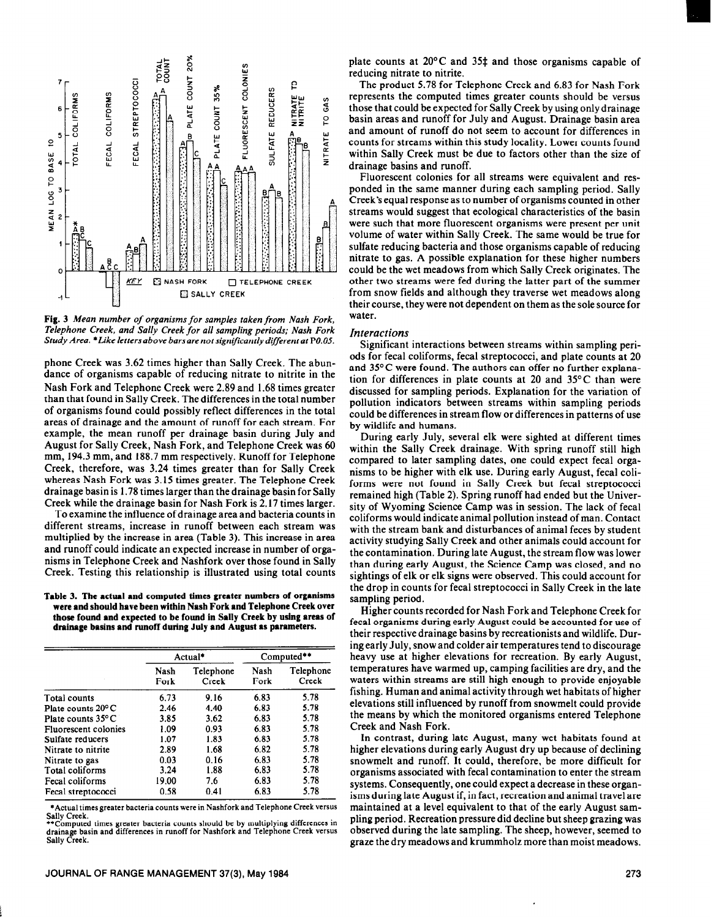

**Fig. 3** *Mean number of organisms for samples taken from Nash Fork, Telephone Creek, and Sally Creek for all sampling periods: Nash Fork Study Area. \*Like lettersabove bars are not significantly different at PO.05* 

phone Creek was 3.62 times higher than Sally Creek. The abundance of organisms capable of reducing nitrate to nitrite in the Nash Fork and Telephone Creek were 2.89 and 1.68 times greater than that found in Sally Creek. The differences in the total number of organisms found could possibly reflect differences in the total areas of drainage and the amount of runoff for each stream. For example, the mean runoff per drainage basin during July and August for Sally Creek, Nash Fork, and Telephone Creek was 60 mm, 194.3 mm, and 188.7 mm respectively. Runoff for Telephone Creek, therefore, was 3.24 times greater than for Sally Creek whereas Nash Fork was 3.15 times greater. The Telephone Creek drainage basin is 1.78 times larger than the drainage basin for Sally Creek while the drainage basin for Nash Fork is 2.17 times larger.

To examine the influence of drainage area and bacteria counts in different streams, increase in runoff between each stream was multiplied by the increase in area (Table 3). This increase in area and runoff could indicate an expected increase in number of organisms in Telephone Creek and Nashfork over those found in Sally Creek. Testing this relationship is illustrated using total counts

**Table 3. The actual and computed times greater numbers of organisms were and should have been within Nash Fork and Telephone Creek over those found and expected to be found in Sally Creek by using areas of drainage basins and runoff during July and August as parameters.** 

|                             |              | Actual*            | Computed**   |                    |  |
|-----------------------------|--------------|--------------------|--------------|--------------------|--|
|                             | Nash<br>Fork | Telephone<br>Creek | Nash<br>Fork | Telephone<br>Creek |  |
| Total counts                | 6.73         | 9.16               | 6.83         | 5.78               |  |
| Plate counts $20^{\circ}$ C | 2.46         | 4.40               | 6.83         | 5.78               |  |
| Plate counts $35^{\circ}$ C | 3.85         | 3.62               | 6.83         | 5.78               |  |
| Fluorescent colonies        | 1.09         | 0.93               | 6.83         | 5.78               |  |
| Sulfate reducers            | 1.07         | 1.83               | 6.83         | 5.78               |  |
| Nitrate to nitrite          | 2.89         | 1.68               | 6.82         | 5.78               |  |
| Nitrate to gas              | 0.03         | 0.16               | 6.83         | 5.78               |  |
| Total coliforms             | 3.24         | 1.88               | 6.83         | 5.78               |  |
| Fecal coliforms             | 19.00        | 7.6                | 6.83         | 5.78               |  |
| Fecal streptococci          | 0.58         | 0.41               | 6.83         | 5.78               |  |

**\*Actual times greater bacteria counts were in Nashfork and Telephone Creek versus** 

**Sally Creek. \*\*Computed times greater bacteria counts should be by multiplying differences in drainage basin and differences in runoff for Nashfork and Telephone Creek versus Sally Creek.** 

plate counts at  $20^{\circ}$ C and  $35\ddagger$  and those organisms capable of reducing nitrate to nitrite.

The product 5.78 for Telephone Creek and 6.83 for Nash Fork represents the computed times greater counts should be versus those that could be expected for Sally Creek by using only drainage basin areas and runoff for July and August. Drainage basin area and amount of runoff do not seem to account for differences in counts for streams within this study locality. Lower counts found within Sally Creek must be due to factors other than the size of drainage basins and runoff.

Fluorescent colonies for all streams were equivalent and responded in the same manner during each sampling period. Sally Creek's equal response as to number of organisms counted in other streams would suggest that ecological characteristics of the basin were such that more fluorescent organisms were present per unit volume of water within Sally Creek. The same would be true for sulfate reducing bacteria and those organisms capable of reducing nitrate to gas. A possible explanation for these higher numbers could be the wet meadows from which Sally Creek originates. The other two streams were fed during the latter part of the summer from snow fields and although they traverse wet meadows along their course, they were not dependent on them as the sole source for water.

## *Interactions*

Significant interactions between streams within sampling periods for fecal coliforms, fecal streptococci, and plate counts at 20 and  $35^{\circ}$ C were found. The authors can offer no further explanation for differences in plate counts at 20 and  $35^{\circ}$ C than were discussed for sampling periods. Explanation for the variation of pollution indicators between streams within sampling periods could be differences in stream flow or differences in patterns of use by wildlife and humans.

During early July, several elk were sighted at different times within the Sally Creek drainage. With spring runoff still high compared to later sampling dates, one could expect fecal organisms to be higher with elk use. During early August, fecal coliforms were not found in Sally Creek but fecal streptococci remained high (Table 2). Spring runoff had ended but the University of Wyoming Science Camp was in session. The lack of fecal coliforms would indicate animal pollution instead of man. Contact with the stream bank and disturbances of animal feces by student activity studying Sally Creek and other animals could account for the contamination. During late August, the stream flow was lower than during early August, the Science Camp was closed, and no sightings of elk or elk signs were observed. This could account for the drop in counts for fecal streptococci in Sally Creek in the late sampling period.

Higher counts recorded for Nash Fork and Telephone Creek for fecal organisms during early August could be accounted for use of their respective drainage basins by recreationists and wildlife. During early July, snow and colder air temperatures tend to discourage heavy use at higher elevations for recreation. By early August, temperatures have warmed up, camping facilities are dry, and the waters within streams are still high enough to provide enjoyable fishing. Human and animal activity through wet habitats of higher elevations still influenced by runoff from snowmelt could provide the means by which the monitored organisms entered Telephone Creek and Nash Fork.

In contrast, during late August, many wet habitats found at higher elevations during early August dry up because of declining snowmelt and runoff. It could, therefore, be more difficult for organisms associated with fecal contamination to enter the stream systems. Consequently, one could expect a decrease in these organisms during late August if, in fact, recreation and animal travel are maintained at a level equivalent to that of the early August sampling period. Recreation pressure did decline but sheep grazing was observed during the late sampling. The sheep, however, seemed to graze the dry meadows and krummholz more than moist meadows.